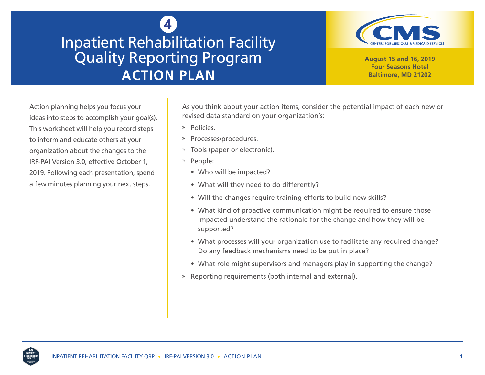## **4** Inpatient Rehabilitation Facility Quality Reporting Program **ACTION PLAN**



**August 15 and 16, 2019 Four Seasons Hotel Baltimore, MD 21202**

Action planning helps you focus your ideas into steps to accomplish your goal(s). This worksheet will help you record steps to inform and educate others at your organization about the changes to the IRF-PAI Version 3.0, effective October 1, 2019. Following each presentation, spend a few minutes planning your next steps.

As you think about your action items, consider the potential impact of each new or revised data standard on your organization's:

- » Policies.
- » Processes/procedures.
- » Tools (paper or electronic).
- » People:
	- Who will be impacted?
	- What will they need to do differently?
	- Will the changes require training efforts to build new skills?
	- What kind of proactive communication might be required to ensure those impacted understand the rationale for the change and how they will be supported?
	- What processes will your organization use to facilitate any required change? Do any feedback mechanisms need to be put in place?
	- What role might supervisors and managers play in supporting the change?
- » Reporting requirements (both internal and external).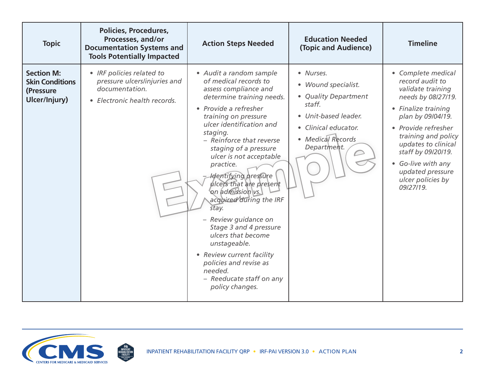| <b>Topic</b>                                                              | <b>Policies, Procedures,</b><br>Processes, and/or<br><b>Documentation Systems and</b><br><b>Tools Potentially Impacted</b> | <b>Action Steps Needed</b>                                                                                                                                                                                                                                                                                                                                                                                                                                                                                                                                                                                         | <b>Education Needed</b><br>(Topic and Audience)                                                                                                        | <b>Timeline</b>                                                                                                                                                                                                                                                                                     |
|---------------------------------------------------------------------------|----------------------------------------------------------------------------------------------------------------------------|--------------------------------------------------------------------------------------------------------------------------------------------------------------------------------------------------------------------------------------------------------------------------------------------------------------------------------------------------------------------------------------------------------------------------------------------------------------------------------------------------------------------------------------------------------------------------------------------------------------------|--------------------------------------------------------------------------------------------------------------------------------------------------------|-----------------------------------------------------------------------------------------------------------------------------------------------------------------------------------------------------------------------------------------------------------------------------------------------------|
| <b>Section M:</b><br><b>Skin Conditions</b><br>(Pressure<br>Ulcer/Injury) | • IRF policies related to<br>pressure ulcers/injuries and<br>documentation.<br>• Electronic health records.                | · Audit a random sample<br>of medical records to<br>assess compliance and<br>determine training needs.<br>• Provide a refresher<br>training on pressure<br>ulcer identification and<br>staging.<br>- Reinforce that reverse<br>staging of a pressure<br>ulcer is not acceptable<br>practice.<br>- Identifying pressure<br>ulcers that are present<br>on admission vs.<br>acquired during the IRF<br>stay.<br>- Review guidance on<br>Stage 3 and 4 pressure<br>ulcers that become<br>unstageable.<br>• Review current facility<br>policies and revise as<br>needed.<br>- Reeducate staff on any<br>policy changes. | • Nurses.<br>• Wound specialist.<br>• Quality Department<br>staff.<br>• Unit-based leader.<br>• Clinical educator.<br>• Medical Records<br>Department. | • Complete medical<br>record audit to<br>validate training<br>needs by 08/27/19.<br>• Finalize training<br>plan by 09/04/19.<br>• Provide refresher<br>training and policy<br>updates to clinical<br>staff by 09/20/19.<br>• Go-live with any<br>updated pressure<br>ulcer policies by<br>09/27/19. |

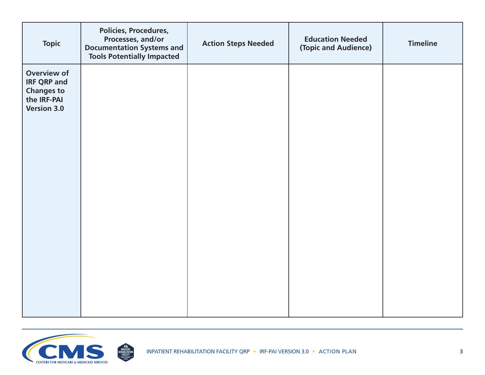| <b>Topic</b>                                                                                       | <b>Policies, Procedures,</b><br>Processes, and/or<br><b>Documentation Systems and</b><br><b>Tools Potentially Impacted</b> | <b>Action Steps Needed</b> | <b>Education Needed</b><br>(Topic and Audience) | <b>Timeline</b> |
|----------------------------------------------------------------------------------------------------|----------------------------------------------------------------------------------------------------------------------------|----------------------------|-------------------------------------------------|-----------------|
| <b>Overview of</b><br><b>IRF QRP and</b><br><b>Changes to</b><br>the IRF-PAI<br><b>Version 3.0</b> |                                                                                                                            |                            |                                                 |                 |
|                                                                                                    |                                                                                                                            |                            |                                                 |                 |

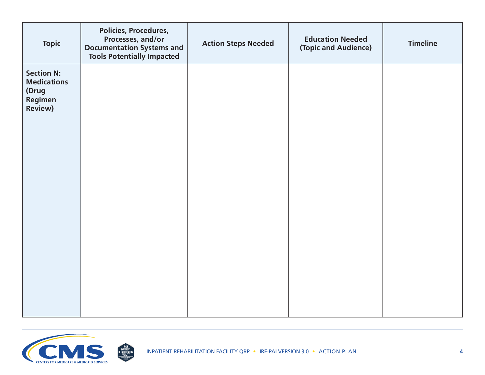| <b>Topic</b>                                                                  | Policies, Procedures,<br>Processes, and/or<br><b>Documentation Systems and</b><br><b>Tools Potentially Impacted</b> | <b>Action Steps Needed</b> | <b>Education Needed</b><br>(Topic and Audience) | <b>Timeline</b> |
|-------------------------------------------------------------------------------|---------------------------------------------------------------------------------------------------------------------|----------------------------|-------------------------------------------------|-----------------|
| <b>Section N:</b><br><b>Medications</b><br>(Drug<br>Regimen<br><b>Review)</b> |                                                                                                                     |                            |                                                 |                 |
|                                                                               |                                                                                                                     |                            |                                                 |                 |

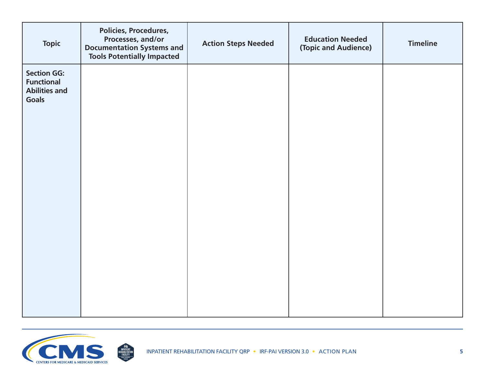| <b>Topic</b>                                                                    | <b>Policies, Procedures,</b><br>Processes, and/or<br><b>Documentation Systems and</b><br><b>Tools Potentially Impacted</b> | <b>Action Steps Needed</b> | <b>Education Needed</b><br>(Topic and Audience) | <b>Timeline</b> |
|---------------------------------------------------------------------------------|----------------------------------------------------------------------------------------------------------------------------|----------------------------|-------------------------------------------------|-----------------|
| <b>Section GG:</b><br><b>Functional</b><br><b>Abilities and</b><br><b>Goals</b> |                                                                                                                            |                            |                                                 |                 |
|                                                                                 |                                                                                                                            |                            |                                                 |                 |

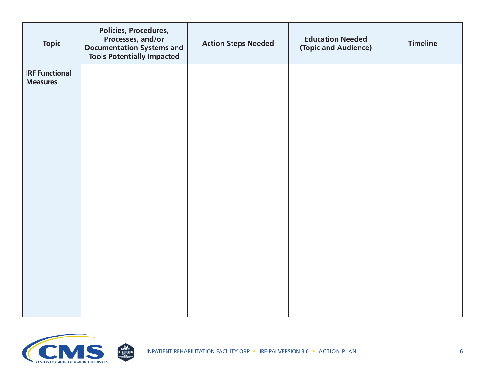| <b>Topic</b>                             | Policies, Procedures,<br>Processes, and/or<br><b>Documentation Systems and</b><br><b>Tools Potentially Impacted</b> | <b>Action Steps Needed</b> | <b>Education Needed</b><br>(Topic and Audience) | <b>Timeline</b> |
|------------------------------------------|---------------------------------------------------------------------------------------------------------------------|----------------------------|-------------------------------------------------|-----------------|
| <b>IRF Functional</b><br><b>Measures</b> |                                                                                                                     |                            |                                                 |                 |
|                                          |                                                                                                                     |                            |                                                 |                 |
|                                          |                                                                                                                     |                            |                                                 |                 |
|                                          |                                                                                                                     |                            |                                                 |                 |
|                                          |                                                                                                                     |                            |                                                 |                 |
|                                          |                                                                                                                     |                            |                                                 |                 |
|                                          |                                                                                                                     |                            |                                                 |                 |
|                                          |                                                                                                                     |                            |                                                 |                 |
|                                          |                                                                                                                     |                            |                                                 |                 |
|                                          |                                                                                                                     |                            |                                                 |                 |
|                                          |                                                                                                                     |                            |                                                 |                 |

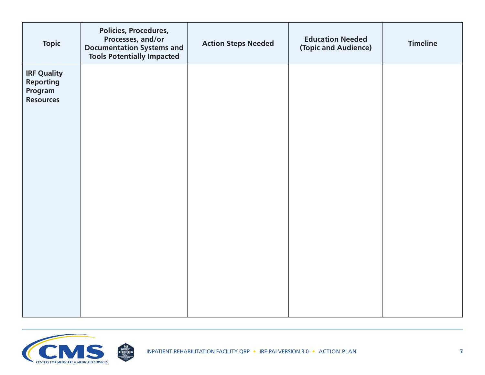| <b>Topic</b>                                                          | Policies, Procedures,<br>Processes, and/or<br><b>Documentation Systems and</b><br><b>Tools Potentially Impacted</b> | <b>Action Steps Needed</b> | <b>Education Needed</b><br>(Topic and Audience) | <b>Timeline</b> |
|-----------------------------------------------------------------------|---------------------------------------------------------------------------------------------------------------------|----------------------------|-------------------------------------------------|-----------------|
| <b>IRF Quality</b><br><b>Reporting</b><br>Program<br><b>Resources</b> |                                                                                                                     |                            |                                                 |                 |
|                                                                       |                                                                                                                     |                            |                                                 |                 |

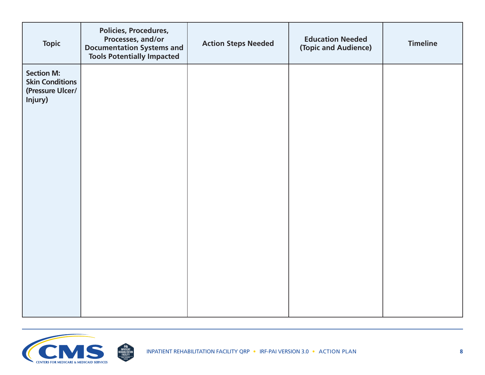| <b>Topic</b>                                                               | <b>Policies, Procedures,</b><br>Processes, and/or<br><b>Documentation Systems and</b><br><b>Tools Potentially Impacted</b> | <b>Action Steps Needed</b> | <b>Education Needed</b><br>(Topic and Audience) | <b>Timeline</b> |
|----------------------------------------------------------------------------|----------------------------------------------------------------------------------------------------------------------------|----------------------------|-------------------------------------------------|-----------------|
| <b>Section M:</b><br><b>Skin Conditions</b><br>(Pressure Ulcer/<br>Injury) |                                                                                                                            |                            |                                                 |                 |
|                                                                            |                                                                                                                            |                            |                                                 |                 |

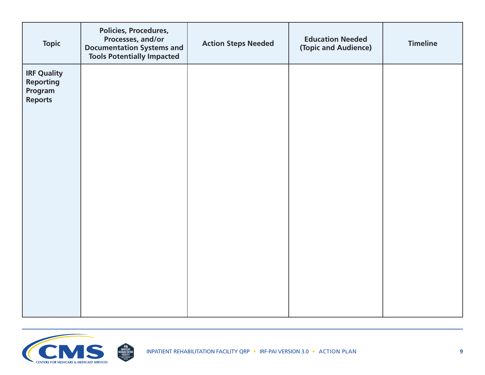| <b>Topic</b>                                                        | Policies, Procedures,<br>Processes, and/or<br><b>Documentation Systems and</b><br><b>Tools Potentially Impacted</b> | <b>Action Steps Needed</b> | <b>Education Needed</b><br>(Topic and Audience) | <b>Timeline</b> |
|---------------------------------------------------------------------|---------------------------------------------------------------------------------------------------------------------|----------------------------|-------------------------------------------------|-----------------|
| <b>IRF Quality</b><br><b>Reporting</b><br>Program<br><b>Reports</b> |                                                                                                                     |                            |                                                 |                 |
|                                                                     |                                                                                                                     |                            |                                                 |                 |